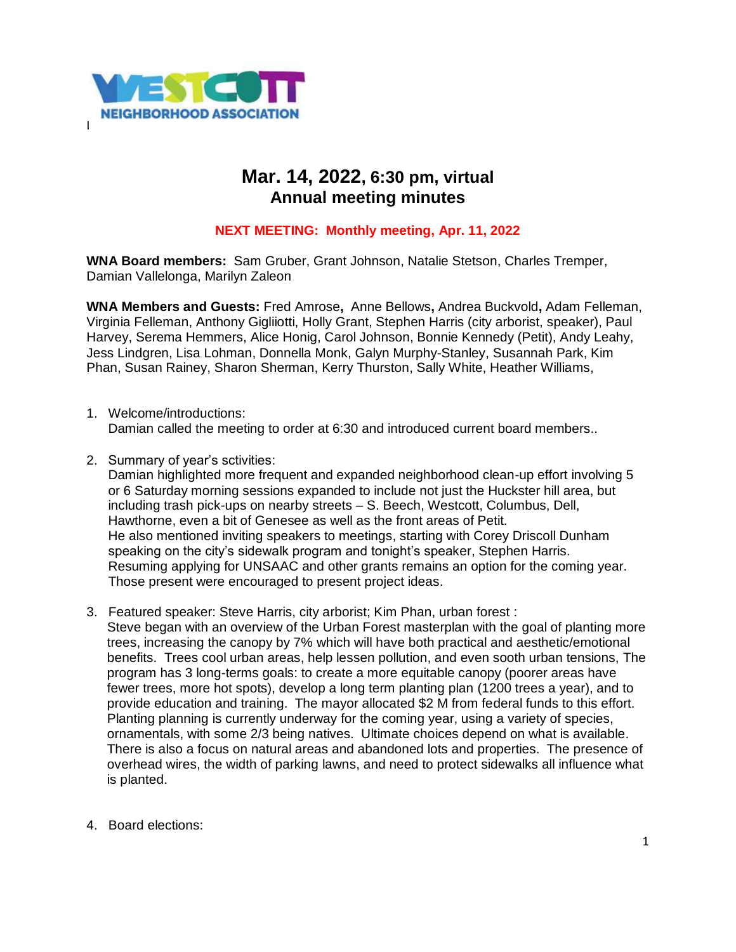

## **Mar. 14, 2022, 6:30 pm, virtual Annual meeting minutes**

## **NEXT MEETING: Monthly meeting, Apr. 11, 2022**

**WNA Board members:** Sam Gruber, Grant Johnson, Natalie Stetson, Charles Tremper, Damian Vallelonga, Marilyn Zaleon

**WNA Members and Guests:** Fred Amrose**,** Anne Bellows**,** Andrea Buckvold**,** Adam Felleman, Virginia Felleman, Anthony Gigliiotti, Holly Grant, Stephen Harris (city arborist, speaker), Paul Harvey, Serema Hemmers, Alice Honig, Carol Johnson, Bonnie Kennedy (Petit), Andy Leahy, Jess Lindgren, Lisa Lohman, Donnella Monk, Galyn Murphy-Stanley, Susannah Park, Kim Phan, Susan Rainey, Sharon Sherman, Kerry Thurston, Sally White, Heather Williams,

- 1. Welcome/introductions: Damian called the meeting to order at 6:30 and introduced current board members..
- 2. Summary of year's sctivities:

Damian highlighted more frequent and expanded neighborhood clean-up effort involving 5 or 6 Saturday morning sessions expanded to include not just the Huckster hill area, but including trash pick-ups on nearby streets – S. Beech, Westcott, Columbus, Dell, Hawthorne, even a bit of Genesee as well as the front areas of Petit. He also mentioned inviting speakers to meetings, starting with Corey Driscoll Dunham speaking on the city's sidewalk program and tonight's speaker, Stephen Harris. Resuming applying for UNSAAC and other grants remains an option for the coming year. Those present were encouraged to present project ideas.

- 3. Featured speaker: Steve Harris, city arborist; Kim Phan, urban forest : Steve began with an overview of the Urban Forest masterplan with the goal of planting more trees, increasing the canopy by 7% which will have both practical and aesthetic/emotional benefits. Trees cool urban areas, help lessen pollution, and even sooth urban tensions, The program has 3 long-terms goals: to create a more equitable canopy (poorer areas have fewer trees, more hot spots), develop a long term planting plan (1200 trees a year), and to provide education and training. The mayor allocated \$2 M from federal funds to this effort. Planting planning is currently underway for the coming year, using a variety of species, ornamentals, with some 2/3 being natives. Ultimate choices depend on what is available. There is also a focus on natural areas and abandoned lots and properties. The presence of overhead wires, the width of parking lawns, and need to protect sidewalks all influence what is planted.
- 4. Board elections: